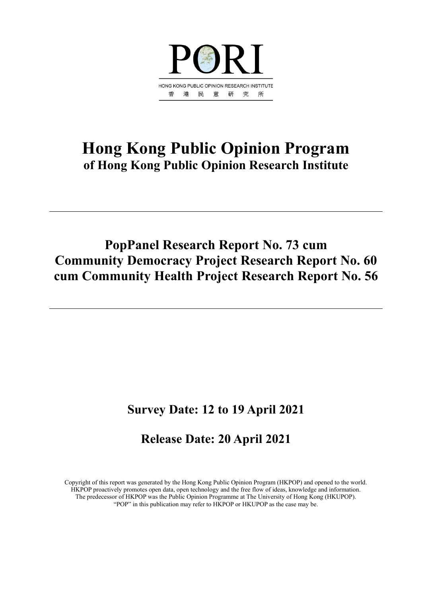

# **Hong Kong Public Opinion Program of Hong Kong Public Opinion Research Institute**

# **PopPanel Research Report No. 73 cum Community Democracy Project Research Report No. 60 cum Community Health Project Research Report No. 56**

# **Survey Date: 12 to 19 April 2021**

# **Release Date: 20 April 2021**

Copyright of this report was generated by the Hong Kong Public Opinion Program (HKPOP) and opened to the world. HKPOP proactively promotes open data, open technology and the free flow of ideas, knowledge and information. The predecessor of HKPOP was the Public Opinion Programme at The University of Hong Kong (HKUPOP). "POP" in this publication may refer to HKPOP or HKUPOP as the case may be.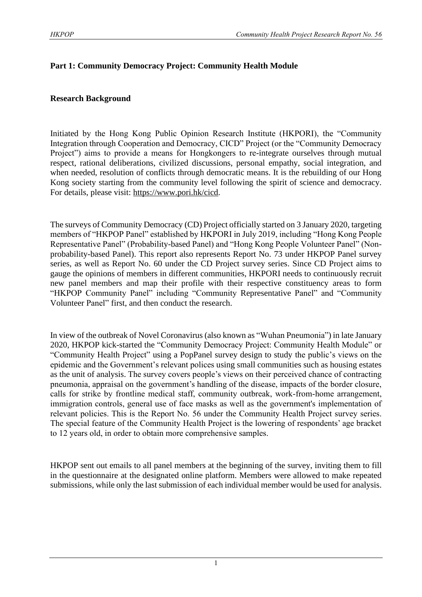# **Part 1: Community Democracy Project: Community Health Module**

# **Research Background**

Initiated by the Hong Kong Public Opinion Research Institute (HKPORI), the "Community Integration through Cooperation and Democracy, CICD" Project (or the "Community Democracy Project") aims to provide a means for Hongkongers to re-integrate ourselves through mutual respect, rational deliberations, civilized discussions, personal empathy, social integration, and when needed, resolution of conflicts through democratic means. It is the rebuilding of our Hong Kong society starting from the community level following the spirit of science and democracy. For details, please visit: [https://www.pori.hk/cicd.](https://www.pori.hk/cicd)

The surveys of Community Democracy (CD) Project officially started on 3 January 2020, targeting members of "HKPOP Panel" established by HKPORI in July 2019, including "Hong Kong People Representative Panel" (Probability-based Panel) and "Hong Kong People Volunteer Panel" (Nonprobability-based Panel). This report also represents Report No. 73 under HKPOP Panel survey series, as well as Report No. 60 under the CD Project survey series. Since CD Project aims to gauge the opinions of members in different communities, HKPORI needs to continuously recruit new panel members and map their profile with their respective constituency areas to form "HKPOP Community Panel" including "Community Representative Panel" and "Community Volunteer Panel" first, and then conduct the research.

In view of the outbreak of Novel Coronavirus (also known as "Wuhan Pneumonia") in late January 2020, HKPOP kick-started the "Community Democracy Project: Community Health Module" or "Community Health Project" using a PopPanel survey design to study the public's views on the epidemic and the Government's relevant polices using small communities such as housing estates as the unit of analysis. The survey covers people's views on their perceived chance of contracting pneumonia, appraisal on the government's handling of the disease, impacts of the border closure, calls for strike by frontline medical staff, community outbreak, work-from-home arrangement, immigration controls, general use of face masks as well as the government's implementation of relevant policies. This is the Report No. 56 under the Community Health Project survey series. The special feature of the Community Health Project is the lowering of respondents' age bracket to 12 years old, in order to obtain more comprehensive samples.

HKPOP sent out emails to all panel members at the beginning of the survey, inviting them to fill in the questionnaire at the designated online platform. Members were allowed to make repeated submissions, while only the last submission of each individual member would be used for analysis.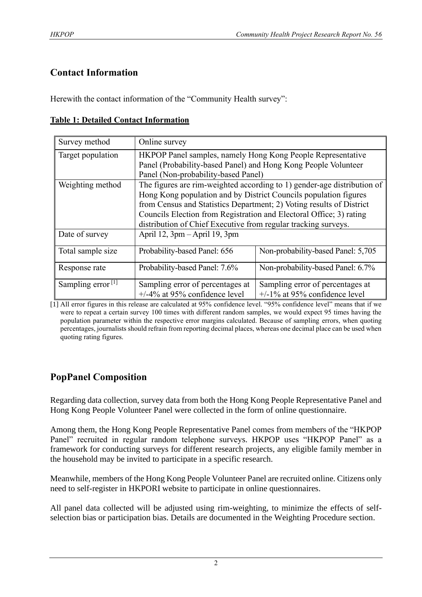# **Contact Information**

Herewith the contact information of the "Community Health survey":

|  |  | <b>Table 1: Detailed Contact Information</b> |
|--|--|----------------------------------------------|
|  |  |                                              |

| Survey method                 | Online survey                                                        |                                                                         |  |  |  |  |  |
|-------------------------------|----------------------------------------------------------------------|-------------------------------------------------------------------------|--|--|--|--|--|
| Target population             | HKPOP Panel samples, namely Hong Kong People Representative          |                                                                         |  |  |  |  |  |
|                               | Panel (Probability-based Panel) and Hong Kong People Volunteer       |                                                                         |  |  |  |  |  |
|                               | Panel (Non-probability-based Panel)                                  |                                                                         |  |  |  |  |  |
| Weighting method              |                                                                      | The figures are rim-weighted according to 1) gender-age distribution of |  |  |  |  |  |
|                               | Hong Kong population and by District Councils population figures     |                                                                         |  |  |  |  |  |
|                               | from Census and Statistics Department; 2) Voting results of District |                                                                         |  |  |  |  |  |
|                               | Councils Election from Registration and Electoral Office; 3) rating  |                                                                         |  |  |  |  |  |
|                               | distribution of Chief Executive from regular tracking surveys.       |                                                                         |  |  |  |  |  |
| Date of survey                | April 12, $3pm - April 19$ , $3pm$                                   |                                                                         |  |  |  |  |  |
| Total sample size             | Probability-based Panel: 656                                         | Non-probability-based Panel: 5,705                                      |  |  |  |  |  |
| Response rate                 | Probability-based Panel: 7.6%                                        | Non-probability-based Panel: 6.7%                                       |  |  |  |  |  |
| Sampling error <sup>[1]</sup> | Sampling error of percentages at                                     | Sampling error of percentages at                                        |  |  |  |  |  |
|                               | $+/-4\%$ at 95% confidence level                                     | $+/-1\%$ at 95% confidence level                                        |  |  |  |  |  |

[1] All error figures in this release are calculated at 95% confidence level. "95% confidence level" means that if we were to repeat a certain survey 100 times with different random samples, we would expect 95 times having the population parameter within the respective error margins calculated. Because of sampling errors, when quoting percentages, journalists should refrain from reporting decimal places, whereas one decimal place can be used when quoting rating figures.

# **PopPanel Composition**

Regarding data collection, survey data from both the Hong Kong People Representative Panel and Hong Kong People Volunteer Panel were collected in the form of online questionnaire.

Among them, the Hong Kong People Representative Panel comes from members of the "HKPOP Panel" recruited in regular random telephone surveys. HKPOP uses "HKPOP Panel" as a framework for conducting surveys for different research projects, any eligible family member in the household may be invited to participate in a specific research.

Meanwhile, members of the Hong Kong People Volunteer Panel are recruited online. Citizens only need to self-register in HKPORI website to participate in online questionnaires.

All panel data collected will be adjusted using rim-weighting, to minimize the effects of selfselection bias or participation bias. Details are documented in the Weighting Procedure section.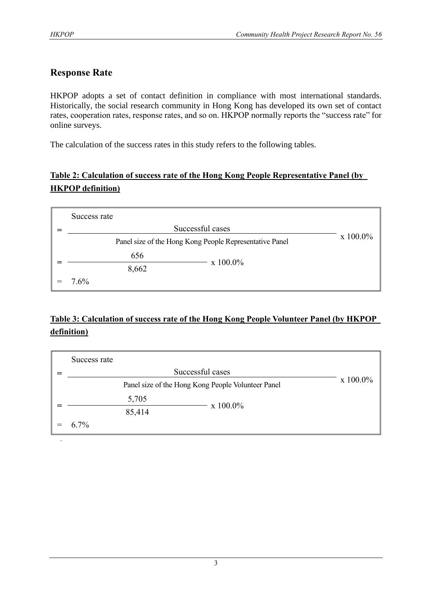# **Response Rate**

HKPOP adopts a set of contact definition in compliance with most international standards. Historically, the social research community in Hong Kong has developed its own set of contact rates, cooperation rates, response rates, and so on. HKPOP normally reports the "success rate" for online surveys.

The calculation of the success rates in this study refers to the following tables.

# **Table 2: Calculation of success rate of the Hong Kong People Representative Panel (by HKPOP definition)**

| Success rate                                            |                  |  |
|---------------------------------------------------------|------------------|--|
|                                                         | Successful cases |  |
| Panel size of the Hong Kong People Representative Panel | x 100.0%         |  |
| 656                                                     |                  |  |
| 8,662                                                   | $\rm x\;100.0\%$ |  |
| 7.6%                                                    |                  |  |

# **Table 3: Calculation of success rate of the Hong Kong People Volunteer Panel (by HKPOP definition)**

| Success rate |          |          |  |
|--------------|----------|----------|--|
|              |          |          |  |
|              | x 100.0% |          |  |
|              | 5,705    |          |  |
|              | 85,414   | x 100.0% |  |
| $6.7\%$      |          |          |  |
|              |          |          |  |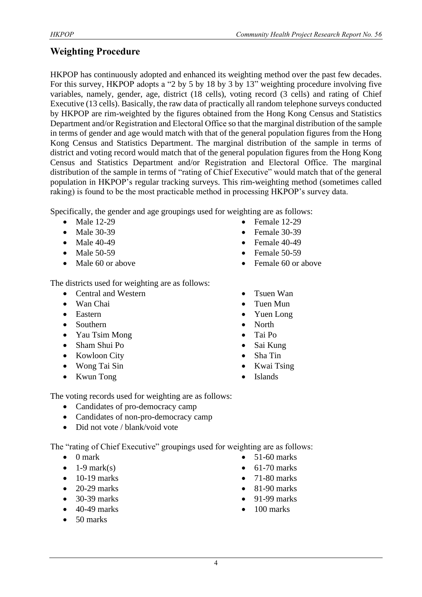# **Weighting Procedure**

HKPOP has continuously adopted and enhanced its weighting method over the past few decades. For this survey, HKPOP adopts a "2 by 5 by 18 by 3 by 13" weighting procedure involving five variables, namely, gender, age, district (18 cells), voting record (3 cells) and rating of Chief Executive (13 cells). Basically, the raw data of practically all random telephone surveys conducted by HKPOP are rim-weighted by the figures obtained from the Hong Kong Census and Statistics Department and/or Registration and Electoral Office so that the marginal distribution of the sample in terms of gender and age would match with that of the general population figures from the Hong Kong Census and Statistics Department. The marginal distribution of the sample in terms of district and voting record would match that of the general population figures from the Hong Kong Census and Statistics Department and/or Registration and Electoral Office. The marginal distribution of the sample in terms of "rating of Chief Executive" would match that of the general population in HKPOP's regular tracking surveys. This rim-weighting method (sometimes called raking) is found to be the most practicable method in processing HKPOP's survey data.

Specifically, the gender and age groupings used for weighting are as follows:

- Male 12-29
- Male 30-39
- Male 40-49
- Male 50-59
- Male 60 or above

The districts used for weighting are as follows:

- Central and Western
- Wan Chai
- Eastern
- Southern
- Yau Tsim Mong
- Sham Shui Po
- Kowloon City
- Wong Tai Sin
- Kwun Tong
- Female 12-29
- Female 30-39
- Female 40-49
- Female 50-59
- Female 60 or above
- Tsuen Wan
- Tuen Mun
- Yuen Long
- North
- Tai Po
- Sai Kung
- Sha Tin
- Kwai Tsing
- **Islands**

The voting records used for weighting are as follows:

- Candidates of pro-democracy camp
- Candidates of non-pro-democracy camp
- Did not vote / blank/void vote

The "rating of Chief Executive" groupings used for weighting are as follows:

- 0 mark
- $\bullet$  1-9 mark(s)
- $\bullet$  10-19 marks
- $\bullet$  20-29 marks
- 30-39 marks
- 40-49 marks
- 50 marks
- 51-60 marks
- 61-70 marks
- 71-80 marks
- 81-90 marks
- 91-99 marks
- 100 marks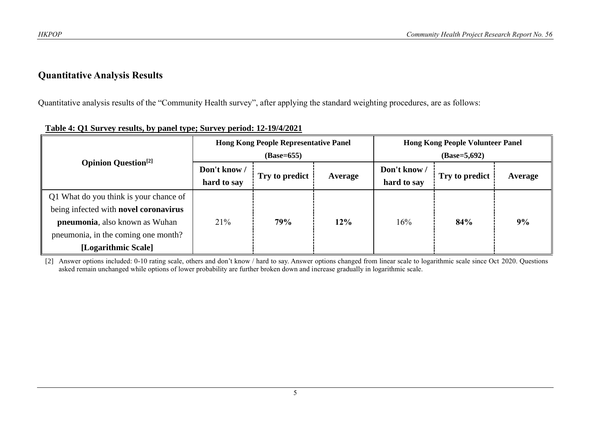# **Quantitative Analysis Results**

Quantitative analysis results of the "Community Health survey", after applying the standard weighting procedures, are as follows:

|                                                                                                                                                                                         |                             | <b>Hong Kong People Representative Panel</b><br>$(Base=655)$ |     | <b>Hong Kong People Volunteer Panel</b><br>$(Base=5,692)$ |         |    |  |
|-----------------------------------------------------------------------------------------------------------------------------------------------------------------------------------------|-----------------------------|--------------------------------------------------------------|-----|-----------------------------------------------------------|---------|----|--|
| <b>Opinion Question</b> <sup>[2]</sup>                                                                                                                                                  | Don't know /<br>hard to say | Don't know /<br>Try to predict<br>Average<br>hard to say     |     | Try to predict                                            | Average |    |  |
| Q1 What do you think is your chance of<br>being infected with novel coronavirus<br><b>pneumonia</b> , also known as Wuhan<br>pneumonia, in the coming one month?<br>[Logarithmic Scale] | 21%                         | 79%                                                          | 12% | 16%                                                       | 84%     | 9% |  |

**Table 4: Q1 Survey results, by panel type; Survey period: 12-19/4/2021**

[2] Answer options included: 0-10 rating scale, others and don't know / hard to say. Answer options changed from linear scale to logarithmic scale since Oct 2020. Questions asked remain unchanged while options of lower probability are further broken down and increase gradually in logarithmic scale.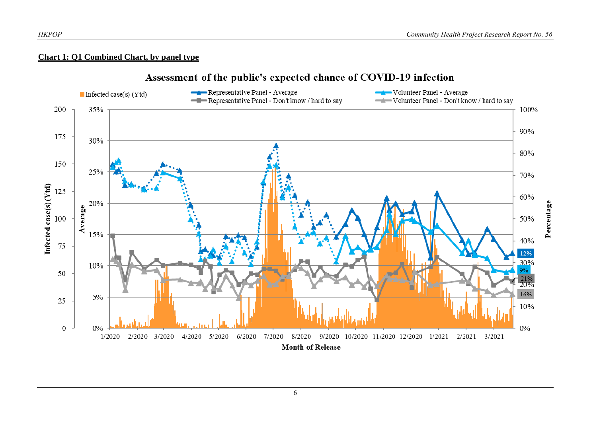## **Chart 1: Q1 Combined Chart, by panel type**

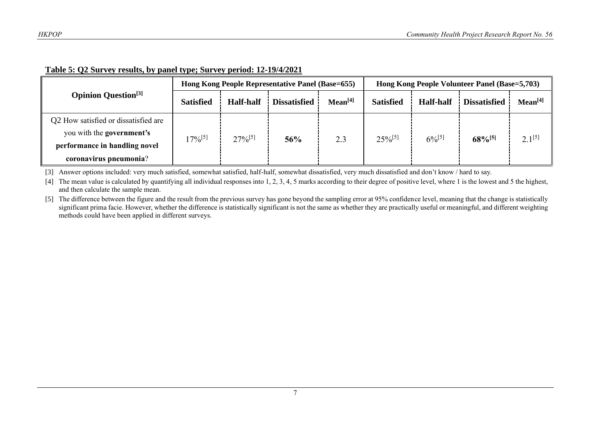|                                        |                  |                  | Hong Kong People Representative Panel (Base=655) |                     | Hong Kong People Volunteer Panel (Base=5,703) |                  |                       |                     |
|----------------------------------------|------------------|------------------|--------------------------------------------------|---------------------|-----------------------------------------------|------------------|-----------------------|---------------------|
| <b>Opinion Question</b> <sup>[3]</sup> | <b>Satisfied</b> | <b>Half-half</b> | <b>Dissatisfied</b>                              | Mean <sup>[4]</sup> | <b>Satisfied</b>                              | <b>Half-half</b> | <b>Dissatisfied</b>   | Mean <sup>[4]</sup> |
| Q2 How satisfied or dissatisfied are   |                  | $27\%^{[5]}$     | 56%                                              | 2.3                 | $25\%^{[5]}$                                  | $6\%^{[5]}$      | $68\%$ <sup>[5]</sup> |                     |
| you with the government's              | $17\%^{[5]}$     |                  |                                                  |                     |                                               |                  |                       | $2.1^{[5]}$         |
| performance in handling novel          |                  |                  |                                                  |                     |                                               |                  |                       |                     |
| coronavirus pneumonia?                 |                  |                  |                                                  |                     |                                               |                  |                       |                     |

# **Table 5: Q2 Survey results, by panel type; Survey period: 12-19/4/2021**

[3] Answer options included: very much satisfied, somewhat satisfied, half-half, somewhat dissatisfied, very much dissatisfied and don't know / hard to say.

[4] The mean value is calculated by quantifying all individual responses into 1, 2, 3, 4, 5 marks according to their degree of positive level, where 1 is the lowest and 5 the highest, and then calculate the sample mean.

[5] The difference between the figure and the result from the previous survey has gone beyond the sampling error at 95% confidence level, meaning that the change is statistically significant prima facie. However, whether the difference is statistically significant is not the same as whether they are practically useful or meaningful, and different weighting methods could have been applied in different surveys.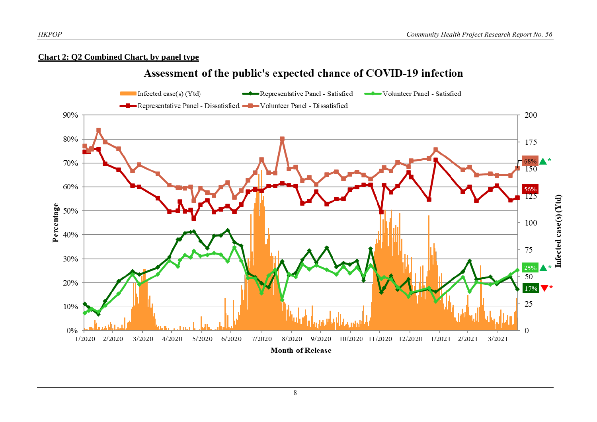### **Chart 2: Q2 Combined Chart, by panel type**

# Assessment of the public's expected chance of COVID-19 infection

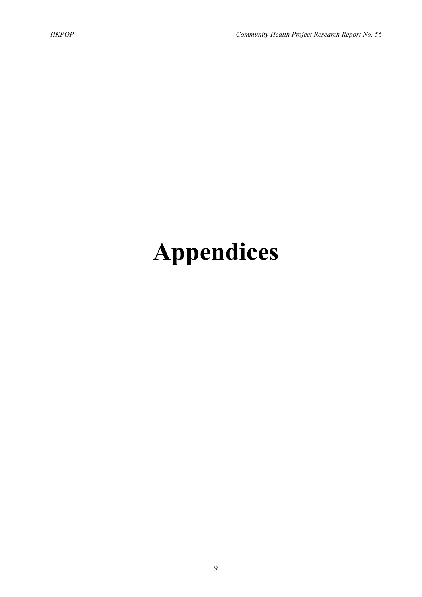# **Appendices**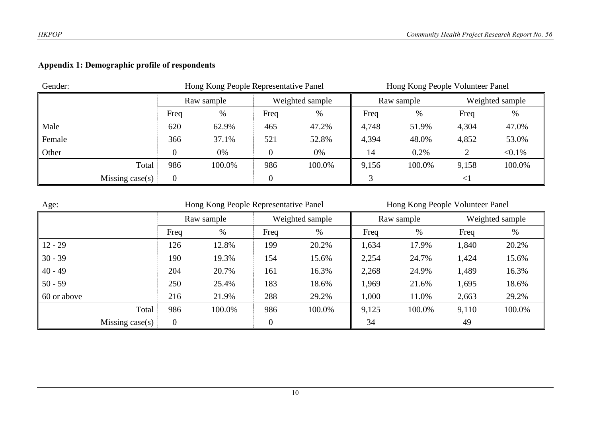# **Appendix 1: Demographic profile of respondents**

| Gender:         |            | Hong Kong People Representative Panel |                |                 | Hong Kong People Volunteer Panel |            |        |                 |  |
|-----------------|------------|---------------------------------------|----------------|-----------------|----------------------------------|------------|--------|-----------------|--|
|                 | Raw sample |                                       |                | Weighted sample |                                  | Raw sample |        | Weighted sample |  |
|                 | Freq       | %                                     | Freq           | %               | Freq                             | $\%$       | Freq   | $\%$            |  |
| Male            | 620        | 62.9%                                 | 465            | 47.2%           | 4,748                            | 51.9%      | 4,304  | 47.0%           |  |
| Female          | 366        | 37.1%                                 | 521            | 52.8%           | 4,394                            | 48.0%      | 4,852  | 53.0%           |  |
| Other           |            | 0%                                    | $\overline{0}$ | 0%              | 14                               | 0.2%       | ◠      | $< 0.1\%$       |  |
| Total           | 986        | 100.0%                                | 986            | 100.0%          | 9,156                            | 100.0%     | 9,158  | 100.0%          |  |
| Missing case(s) | 0          |                                       |                |                 |                                  |            | $\leq$ |                 |  |

| Age:               |                | Hong Kong People Representative Panel |                |                 | Hong Kong People Volunteer Panel |            |       |                 |  |
|--------------------|----------------|---------------------------------------|----------------|-----------------|----------------------------------|------------|-------|-----------------|--|
|                    |                | Raw sample                            |                | Weighted sample |                                  | Raw sample |       | Weighted sample |  |
|                    | Freq           | %                                     | Freq           | %               | Freq                             | %          | Freq  | %               |  |
| $12 - 29$          | 126            | 12.8%                                 | 199            | 20.2%           | 1,634                            | 17.9%      | 1,840 | 20.2%           |  |
| $30 - 39$          | 190            | 19.3%                                 | 154            | 15.6%           | 2,254                            | 24.7%      | 1,424 | 15.6%           |  |
| $40 - 49$          | 204            | 20.7%                                 | 161            | 16.3%           | 2,268                            | 24.9%      | 1,489 | 16.3%           |  |
| $50 - 59$          | 250            | 25.4%                                 | 183            | 18.6%           | 1,969                            | 21.6%      | 1,695 | 18.6%           |  |
| 60 or above        | 216            | 21.9%                                 | 288            | 29.2%           | 1,000                            | 11.0%      | 2,663 | 29.2%           |  |
| Total              | 986            | 100.0%                                | 986            | 100.0%          | 9,125                            | 100.0%     | 9,110 | 100.0%          |  |
| Missing case $(s)$ | $\overline{0}$ |                                       | $\overline{0}$ |                 | 34                               |            | 49    |                 |  |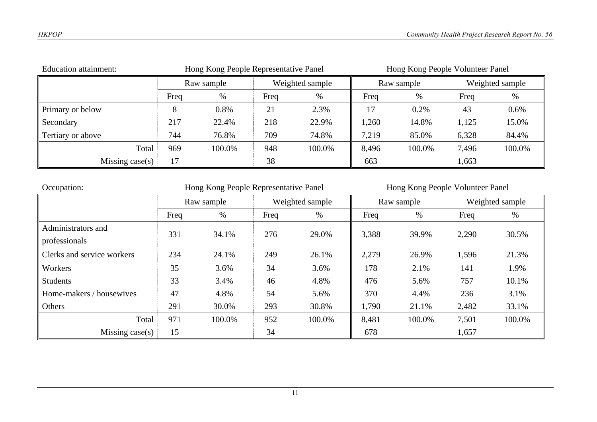| <b>Education attainment:</b> |            | Hong Kong People Representative Panel |                 |        | Hong Kong People Volunteer Panel |        |                 |        |
|------------------------------|------------|---------------------------------------|-----------------|--------|----------------------------------|--------|-----------------|--------|
|                              | Raw sample |                                       | Weighted sample |        | Raw sample                       |        | Weighted sample |        |
|                              | Freq       | %                                     | Freq            | $\%$   | Freq                             | %      | Freq            | $\%$   |
| Primary or below             |            | 0.8%                                  | 21              | 2.3%   |                                  | 0.2%   | 43              | 0.6%   |
| Secondary                    | 217        | 22.4%                                 | 218             | 22.9%  | 1,260                            | 14.8%  | 1,125           | 15.0%  |
| Tertiary or above            | 744        | 76.8%                                 | 709             | 74.8%  | 7,219                            | 85.0%  | 6,328           | 84.4%  |
| Total                        | 969        | 100.0%                                | 948             | 100.0% | 8,496                            | 100.0% | 7,496           | 100.0% |
| Missing case $(s)$           | 17         |                                       | 38              |        | 663                              |        | 1,663           |        |

| Occupation:                | Hong Kong People Representative Panel |        |      |                 | Hong Kong People Volunteer Panel |            |       |                 |  |
|----------------------------|---------------------------------------|--------|------|-----------------|----------------------------------|------------|-------|-----------------|--|
|                            | Raw sample                            |        |      | Weighted sample |                                  | Raw sample |       | Weighted sample |  |
|                            | Freq                                  | $\%$   | Freq | %               | Freq                             | %          | Freq  | %               |  |
| Administrators and         | 331                                   | 34.1%  | 276  | 29.0%           | 3,388                            | 39.9%      | 2,290 | 30.5%           |  |
| professionals              |                                       |        |      |                 |                                  |            |       |                 |  |
| Clerks and service workers | 234                                   | 24.1%  | 249  | 26.1%           | 2,279                            | 26.9%      | 1,596 | 21.3%           |  |
| Workers                    | 35                                    | 3.6%   | 34   | 3.6%            | 178                              | 2.1%       | 141   | 1.9%            |  |
| <b>Students</b>            | 33                                    | 3.4%   | 46   | 4.8%            | 476                              | 5.6%       | 757   | 10.1%           |  |
| Home-makers / housewives   | 47                                    | 4.8%   | 54   | 5.6%            | 370                              | 4.4%       | 236   | 3.1%            |  |
| Others                     | 291                                   | 30.0%  | 293  | 30.8%           | 1,790                            | 21.1%      | 2,482 | 33.1%           |  |
| Total                      | 971                                   | 100.0% | 952  | 100.0%          | 8,481                            | 100.0%     | 7,501 | 100.0%          |  |
| Missing $case(s)$          | 15                                    |        | 34   |                 | 678                              |            | 1,657 |                 |  |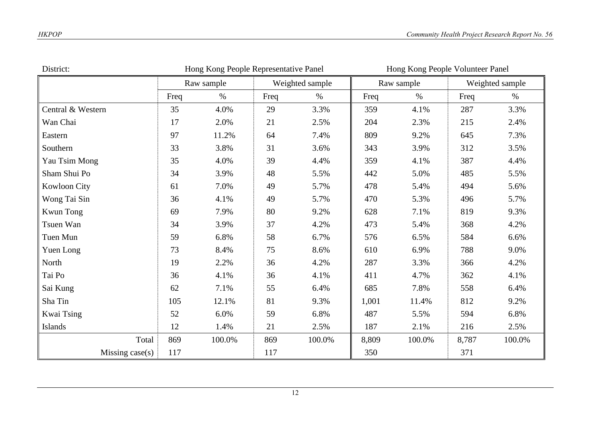| District:         | Hong Kong People Representative Panel |            |      |                 |       | Hong Kong People Volunteer Panel |       |                 |  |
|-------------------|---------------------------------------|------------|------|-----------------|-------|----------------------------------|-------|-----------------|--|
|                   |                                       | Raw sample |      | Weighted sample |       | Raw sample                       |       | Weighted sample |  |
|                   | Freq                                  | $\%$       | Freq | $\%$            | Freq  | $\%$                             | Freq  | $\%$            |  |
| Central & Western | 35                                    | 4.0%       | 29   | 3.3%            | 359   | 4.1%                             | 287   | 3.3%            |  |
| Wan Chai          | 17                                    | 2.0%       | 21   | 2.5%            | 204   | 2.3%                             | 215   | 2.4%            |  |
| Eastern           | 97                                    | 11.2%      | 64   | 7.4%            | 809   | 9.2%                             | 645   | 7.3%            |  |
| Southern          | 33                                    | 3.8%       | 31   | 3.6%            | 343   | 3.9%                             | 312   | 3.5%            |  |
| Yau Tsim Mong     | 35                                    | 4.0%       | 39   | 4.4%            | 359   | 4.1%                             | 387   | 4.4%            |  |
| Sham Shui Po      | 34                                    | 3.9%       | 48   | 5.5%            | 442   | 5.0%                             | 485   | 5.5%            |  |
| Kowloon City      | 61                                    | 7.0%       | 49   | 5.7%            | 478   | 5.4%                             | 494   | 5.6%            |  |
| Wong Tai Sin      | 36                                    | 4.1%       | 49   | 5.7%            | 470   | 5.3%                             | 496   | 5.7%            |  |
| Kwun Tong         | 69                                    | 7.9%       | 80   | 9.2%            | 628   | 7.1%                             | 819   | 9.3%            |  |
| Tsuen Wan         | 34                                    | 3.9%       | 37   | 4.2%            | 473   | 5.4%                             | 368   | 4.2%            |  |
| Tuen Mun          | 59                                    | 6.8%       | 58   | 6.7%            | 576   | 6.5%                             | 584   | 6.6%            |  |
| Yuen Long         | 73                                    | 8.4%       | 75   | 8.6%            | 610   | 6.9%                             | 788   | 9.0%            |  |
| North             | 19                                    | 2.2%       | 36   | 4.2%            | 287   | 3.3%                             | 366   | 4.2%            |  |
| Tai Po            | 36                                    | 4.1%       | 36   | 4.1%            | 411   | 4.7%                             | 362   | 4.1%            |  |
| Sai Kung          | 62                                    | 7.1%       | 55   | 6.4%            | 685   | 7.8%                             | 558   | 6.4%            |  |
| Sha Tin           | 105                                   | 12.1%      | 81   | 9.3%            | 1,001 | 11.4%                            | 812   | 9.2%            |  |
| Kwai Tsing        | 52                                    | 6.0%       | 59   | 6.8%            | 487   | 5.5%                             | 594   | 6.8%            |  |
| Islands           | 12                                    | 1.4%       | 21   | 2.5%            | 187   | 2.1%                             | 216   | 2.5%            |  |
| Total             | 869                                   | 100.0%     | 869  | 100.0%          | 8,809 | 100.0%                           | 8,787 | 100.0%          |  |
| Missing case(s)   | 117                                   |            | 117  |                 | 350   |                                  | 371   |                 |  |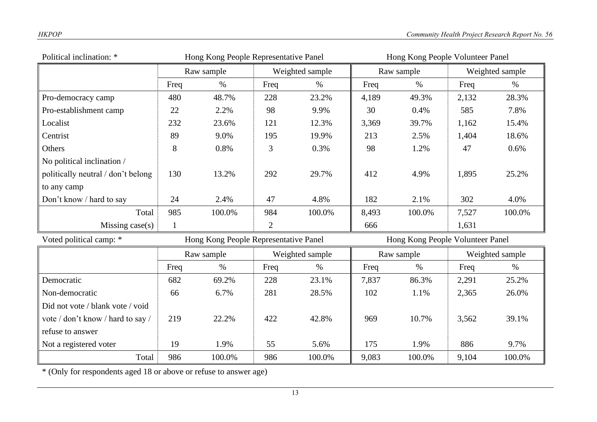| Political inclination: *           | Hong Kong People Representative Panel |                                       |                 |                 | Hong Kong People Volunteer Panel |                                  |       |                 |  |
|------------------------------------|---------------------------------------|---------------------------------------|-----------------|-----------------|----------------------------------|----------------------------------|-------|-----------------|--|
|                                    | Raw sample                            |                                       |                 | Weighted sample |                                  | Raw sample                       |       | Weighted sample |  |
|                                    | Freq                                  | $\%$                                  | Freq            | $\%$            | Freq                             | $\%$                             | Freq  | $\%$            |  |
| Pro-democracy camp                 | 480                                   | 48.7%                                 | 228             | 23.2%           | 4,189                            | 49.3%                            | 2,132 | 28.3%           |  |
| Pro-establishment camp             | 22                                    | 2.2%                                  | 98              | 9.9%            | 30                               | 0.4%                             | 585   | 7.8%            |  |
| Localist                           | 232                                   | 23.6%                                 | 121             | 12.3%           | 3,369                            | 39.7%                            | 1,162 | 15.4%           |  |
| Centrist                           | 89                                    | 9.0%                                  | 195             | 19.9%           | 213                              | 2.5%                             | 1,404 | 18.6%           |  |
| Others                             | 8                                     | 0.8%                                  | 3               | 0.3%            | 98                               | 1.2%                             | 47    | 0.6%            |  |
| No political inclination /         |                                       |                                       |                 |                 |                                  |                                  |       |                 |  |
| politically neutral / don't belong | 130                                   | 13.2%                                 | 292             | 29.7%           | 412                              | 4.9%                             | 1,895 | 25.2%           |  |
| to any camp                        |                                       |                                       |                 |                 |                                  |                                  |       |                 |  |
| Don't know / hard to say           | 24                                    | 2.4%                                  | 47              | 4.8%            | 182                              | 2.1%                             | 302   | 4.0%            |  |
| Total                              | 985                                   | 100.0%                                | 984             | 100.0%          | 8,493                            | 100.0%                           | 7,527 | 100.0%          |  |
| Missing $case(s)$                  | $\mathbf{1}$                          |                                       | $\overline{2}$  |                 | 666                              |                                  | 1,631 |                 |  |
| Voted political camp: *            |                                       | Hong Kong People Representative Panel |                 |                 |                                  | Hong Kong People Volunteer Panel |       |                 |  |
|                                    |                                       | Raw sample                            | Weighted sample |                 |                                  | Raw sample                       |       | Weighted sample |  |
|                                    | Freq                                  | $\%$                                  | Freq            | $\%$            | Freq                             | $\%$                             | Freq  | $\%$            |  |
| Democratic                         | 682                                   | 69.2%                                 | 228             | 23.1%           | 7,837                            | 86.3%                            | 2,291 | 25.2%           |  |
| Non-democratic                     | 66                                    | 6.7%                                  | 281             | 28.5%           | 102                              | 1.1%                             | 2,365 | 26.0%           |  |
| Did not vote / blank vote / void   |                                       |                                       |                 |                 |                                  |                                  |       |                 |  |
| vote / don't know / hard to say /  | 219                                   | 22.2%                                 | 422             | 42.8%           | 969                              | 10.7%                            | 3,562 | 39.1%           |  |
| refuse to answer                   |                                       |                                       |                 |                 |                                  |                                  |       |                 |  |
| Not a registered voter             | 19                                    | 1.9%                                  | 55              | 5.6%            | 175                              | 1.9%                             | 886   | 9.7%            |  |
| Total                              | 986                                   | 100.0%                                | 986             | 100.0%          | 9,083                            | 100.0%                           | 9,104 | 100.0%          |  |

\* (Only for respondents aged 18 or above or refuse to answer age)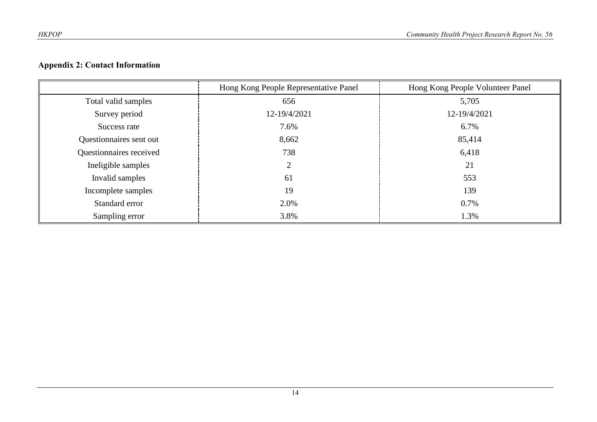# **Appendix 2: Contact Information**

|                         | Hong Kong People Representative Panel | Hong Kong People Volunteer Panel |
|-------------------------|---------------------------------------|----------------------------------|
| Total valid samples     | 656                                   | 5,705                            |
| Survey period           | 12-19/4/2021                          | 12-19/4/2021                     |
| Success rate            | 7.6%                                  | 6.7%                             |
| Questionnaires sent out | 8,662                                 | 85,414                           |
| Questionnaires received | 738                                   | 6,418                            |
| Ineligible samples      | 2                                     | 21                               |
| Invalid samples         | 61                                    | 553                              |
| Incomplete samples      | 19                                    | 139                              |
| Standard error          | 2.0%                                  | 0.7%                             |
| Sampling error          | 3.8%                                  | 1.3%                             |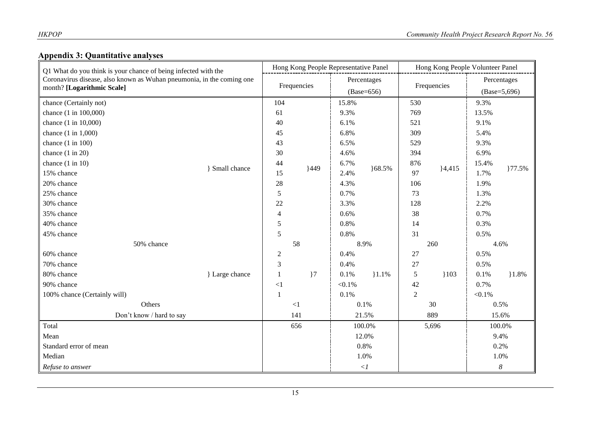# **Appendix 3: Quantitative analyses**

| Q1 What do you think is your chance of being infected with the<br>Coronavirus disease, also known as Wuhan pneumonia, in the coming one<br>month? [Logarithmic Scale] |                     | Hong Kong People Representative Panel |                |              |          | Hong Kong People Volunteer Panel |          |                |                  |  |
|-----------------------------------------------------------------------------------------------------------------------------------------------------------------------|---------------------|---------------------------------------|----------------|--------------|----------|----------------------------------|----------|----------------|------------------|--|
|                                                                                                                                                                       |                     | Frequencies                           |                | Percentages  |          | Frequencies                      |          | Percentages    |                  |  |
|                                                                                                                                                                       |                     |                                       |                | $(Base=656)$ |          |                                  |          | $(Base=5,696)$ |                  |  |
| chance (Certainly not)                                                                                                                                                |                     | 104                                   |                | 15.8%        |          | 530                              |          | 9.3%           |                  |  |
| chance (1 in 100,000)                                                                                                                                                 |                     | 61                                    |                | 9.3%         |          | 769                              |          | 13.5%          |                  |  |
| chance (1 in 10,000)                                                                                                                                                  |                     | 40                                    |                | 6.1%         |          | 521                              |          | 9.1%           |                  |  |
| chance $(1 \text{ in } 1,000)$                                                                                                                                        |                     | 45                                    |                | 6.8%         | 168.5%   | 309                              |          | 5.4%           | }77.5%           |  |
| chance $(1 \text{ in } 100)$                                                                                                                                          |                     | 43                                    |                | 6.5%         |          | 529                              |          | 9.3%           |                  |  |
| chance $(1 in 20)$                                                                                                                                                    |                     | 30                                    |                | 4.6%         |          | 394                              |          | 6.9%           |                  |  |
| chance $(1 \text{ in } 10)$                                                                                                                                           | <b>Small chance</b> | 44                                    | 449            | 6.7%         |          | 876                              |          | 15.4%          |                  |  |
| 15% chance                                                                                                                                                            |                     | 15                                    |                | 2.4%         |          | 97                               | $}4,415$ | 1.7%           |                  |  |
| 20% chance                                                                                                                                                            |                     | 28                                    |                | 4.3%         |          | 106                              |          | 1.9%           |                  |  |
| 25% chance                                                                                                                                                            |                     | $\mathfrak s$                         |                | 0.7%         |          | 73                               |          | 1.3%           |                  |  |
| 30% chance                                                                                                                                                            |                     | 22                                    |                | 3.3%         |          | 128                              |          | 2.2%           |                  |  |
| 35% chance                                                                                                                                                            |                     | 4                                     |                | 0.6%         |          | 38                               |          | 0.7%           |                  |  |
| 40% chance                                                                                                                                                            |                     |                                       |                | 0.8%         |          | 14                               |          | 0.3%           |                  |  |
| 45% chance                                                                                                                                                            |                     |                                       |                | 0.8%         |          | 31                               |          | 0.5%           |                  |  |
| 50% chance                                                                                                                                                            |                     | 58                                    |                |              | 8.9%     |                                  | 260      |                | 4.6%             |  |
| 60% chance                                                                                                                                                            |                     | $\sqrt{2}$                            |                | 0.4%         |          | 27                               |          | 0.5%           |                  |  |
| 70% chance                                                                                                                                                            |                     | 3                                     |                | 0.4%         |          | 27                               |          | 0.5%           |                  |  |
| 80% chance                                                                                                                                                            | } Large chance      | 1                                     | $\overline{7}$ | 0.1%         | $1.1\%$  | 5                                | 103      | 0.1%           | 1.8%             |  |
| 90% chance                                                                                                                                                            |                     | $\leq$ 1                              |                | $< 0.1\%$    |          | 42                               |          | 0.7%           |                  |  |
| 100% chance (Certainly will)                                                                                                                                          |                     | 1                                     |                | 0.1%         |          | 2                                |          | $< 0.1\%$      |                  |  |
| Others                                                                                                                                                                |                     | $\leq$ 1                              |                | 0.1%         |          | 30                               |          | 0.5%           |                  |  |
| Don't know / hard to say                                                                                                                                              |                     | 141                                   |                | 21.5%        |          | 889                              |          | 15.6%          |                  |  |
| Total                                                                                                                                                                 |                     | 656                                   |                | 100.0%       |          | 5,696                            |          | 100.0%         |                  |  |
| Mean                                                                                                                                                                  |                     |                                       |                | 12.0%        |          |                                  |          | 9.4%           |                  |  |
| Standard error of mean                                                                                                                                                |                     |                                       |                |              | 0.8%     |                                  |          |                | 0.2%             |  |
| Median                                                                                                                                                                |                     |                                       | 1.0%           |              |          |                                  | 1.0%     |                |                  |  |
| Refuse to answer                                                                                                                                                      |                     |                                       |                |              | $< \! I$ |                                  |          |                | $\boldsymbol{8}$ |  |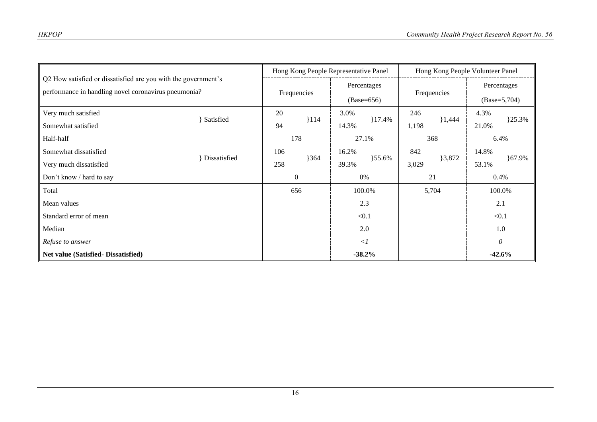| Q2 How satisfied or dissatisfied are you with the government's<br>performance in handling novel coronavirus pneumonia? |              | Hong Kong People Representative Panel |     |                             | Hong Kong People Volunteer Panel |             |                |                |        |
|------------------------------------------------------------------------------------------------------------------------|--------------|---------------------------------------|-----|-----------------------------|----------------------------------|-------------|----------------|----------------|--------|
|                                                                                                                        |              | Frequencies                           |     | Percentages<br>$(Base=656)$ |                                  | Frequencies |                | Percentages    |        |
|                                                                                                                        |              |                                       |     |                             |                                  |             |                | $(Base=5,704)$ |        |
| Very much satisfied                                                                                                    |              | 20                                    |     | 3.0%                        |                                  | 246         |                | 4.3%           |        |
| Somewhat satisfied                                                                                                     | Satisfied    | 94                                    | 114 | 14.3%                       | $17.4\%$                         | 1,198       | 1,444          | 21.0%          | 125.3% |
| Half-half                                                                                                              |              | 178                                   |     |                             | 27.1%                            |             | 368            | 6.4%           |        |
| Somewhat dissatisfied                                                                                                  | Dissatisfied | 106                                   | 364 | 16.2%                       | $\}55.6\%$                       | 842         | 3,872<br>3,029 | 14.8%          | }67.9% |
| Very much dissatisfied                                                                                                 |              | 258                                   |     | 39.3%                       |                                  |             |                | 53.1%          |        |
| Don't know / hard to say                                                                                               |              | 0%<br>$\boldsymbol{0}$                |     | 21                          |                                  | 0.4%        |                |                |        |
| Total                                                                                                                  |              | 656                                   |     |                             | 100.0%                           |             | 5,704          | 100.0%         |        |
| Mean values                                                                                                            |              | 2.3                                   |     |                             |                                  | 2.1         |                |                |        |
| Standard error of mean                                                                                                 |              |                                       |     | < 0.1                       |                                  |             |                | < 0.1          |        |
| Median                                                                                                                 |              |                                       |     |                             | 2.0                              |             |                |                | 1.0    |
| Refuse to answer                                                                                                       |              |                                       |     |                             | $\langle$ 1                      |             |                | $\theta$       |        |
| Net value (Satisfied-Dissatisfied)                                                                                     |              |                                       |     |                             | $-38.2%$                         |             |                | $-42.6%$       |        |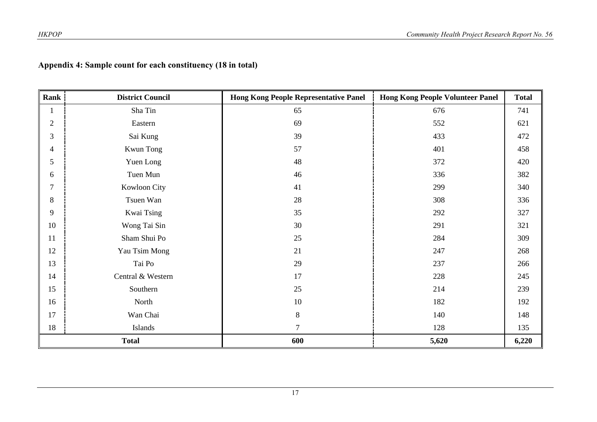|  | Appendix 4: Sample count for each constituency (18 in total) |  |
|--|--------------------------------------------------------------|--|
|  |                                                              |  |

| Rank           | <b>District Council</b> | <b>Hong Kong People Representative Panel</b> | <b>Hong Kong People Volunteer Panel</b> | <b>Total</b> |
|----------------|-------------------------|----------------------------------------------|-----------------------------------------|--------------|
|                | Sha Tin                 | 65                                           | 676                                     | 741          |
| $\mathfrak{2}$ | Eastern                 | 69                                           | 552                                     | 621          |
| 3              | Sai Kung                | 39                                           | 433                                     | 472          |
| 4              | Kwun Tong               | 57                                           | 401                                     | 458          |
| 5              | Yuen Long               | 48                                           | 372                                     | 420          |
| 6              | Tuen Mun                | 46                                           | 336                                     | 382          |
| $\overline{7}$ | Kowloon City            | 41                                           | 299                                     | 340          |
| 8              | Tsuen Wan               | 28                                           | 308                                     | 336          |
| 9              | Kwai Tsing              | 35                                           | 292                                     | 327          |
| 10             | Wong Tai Sin            | 30                                           | 291                                     | 321          |
| 11             | Sham Shui Po            | 25                                           | 284                                     | 309          |
| 12             | Yau Tsim Mong           | 21                                           | 247                                     | 268          |
| 13             | Tai Po                  | 29                                           | 237                                     | 266          |
| 14             | Central & Western       | 17                                           | 228                                     | 245          |
| 15             | Southern                | 25                                           | 214                                     | 239          |
| 16             | North                   | 10                                           | 182                                     | 192          |
| 17             | Wan Chai                | $\,8\,$                                      | 140                                     | 148          |
| 18             | Islands                 | $\tau$                                       | 128                                     | 135          |
|                | <b>Total</b>            | 600                                          | 5,620                                   | 6,220        |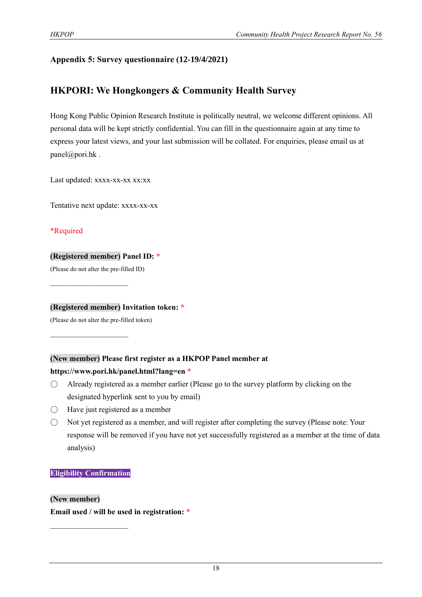# **Appendix 5: Survey questionnaire (12-19/4/2021)**

# **HKPORI: We Hongkongers & Community Health Survey**

Hong Kong Public Opinion Research Institute is politically neutral, we welcome different opinions. All personal data will be kept strictly confidential. You can fill in the questionnaire again at any time to express your latest views, and your last submission will be collated. For enquiries, please email us at panel@pori.hk.

Last updated: xxxx-xx-xx xx:xx

Tentative next update: xxxx-xx-xx

\*Required

## **(Registered member) Panel ID: \***

(Please do not alter the pre-filled ID)

 $\mathcal{L}_\text{max}$  , where  $\mathcal{L}_\text{max}$ 

 $\mathcal{L}_\text{max}$  , where  $\mathcal{L}_\text{max}$ 

**(Registered member) Invitation token: \***

(Please do not alter the pre-filled token)

# **(New member) Please first register as a HKPOP Panel member at**

# **https://www.pori.hk/panel.html?lang=en \***

- $\bigcirc$  Already registered as a member earlier (Please go to the survey platform by clicking on the designated hyperlink sent to you by email)
- $\bigcirc$  Have just registered as a member
- Not yet registered as a member, and will register after completing the survey (Please note: Your response will be removed if you have not yet successfully registered as a member at the time of data analysis)

### **Eligibility Confirmation**

 $\mathcal{L}_\text{max}$ 

### **(New member)**

**Email used / will be used in registration: \***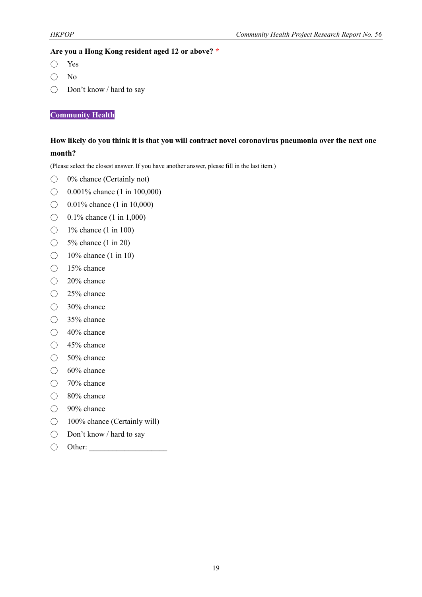## **Are you a Hong Kong resident aged 12 or above? \***

- Yes
- No
- Don't know / hard to say

**Community Health**

# **How likely do you think it is that you will contract novel coronavirus pneumonia over the next one month?**

(Please select the closest answer. If you have another answer, please fill in the last item.)

- 0% chance (Certainly not)
- $\bigcirc$  0.001% chance (1 in 100,000)
- ◯ 0.01% chance (1 in 10,000)
- $\bigcirc$  0.1% chance (1 in 1,000)
- $\bigcirc$  1% chance (1 in 100)
- ◯ 5<sup>%</sup> chance (1 in 20)
- $\bigcirc$  10% chance (1 in 10)
- 15% chance
- 20% chance
- 25% chance
- 30% chance
- 35% chance
- 40% chance
- 45% chance
- $\bigcirc$  50% chance
- $\bigcirc$  60% chance
- 70% chance
- 80% chance
- 90% chance
- 100% chance (Certainly will)
- Don't know / hard to say
- $\bigcirc$  Other: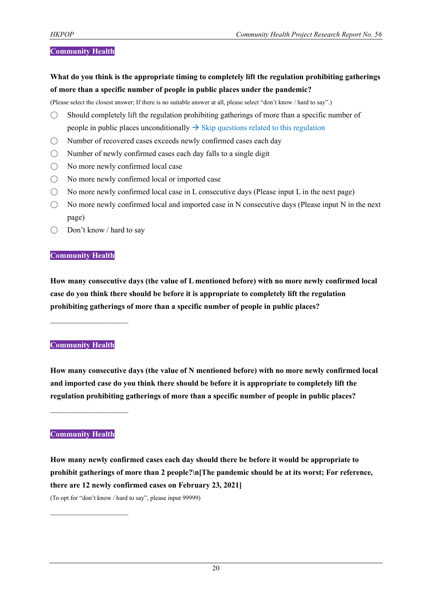### **Community Health**

**What do you think is the appropriate timing to completely lift the regulation prohibiting gatherings of more than a specific number of people in public places under the pandemic?**

(Please select the closest answer; If there is no suitable answer at all, please select "don't know / hard to say".)

- $\bigcirc$  Should completely lift the regulation prohibiting gatherings of more than a specific number of people in public places unconditionally  $\rightarrow$  Skip questions related to this regulation
- Number of recovered cases exceeds newly confirmed cases each day
- $\bigcirc$  Number of newly confirmed cases each day falls to a single digit
- No more newly confirmed local case
- No more newly confirmed local or imported case
- $\bigcirc$  No more newly confirmed local case in L consecutive days (Please input L in the next page)
- $\bigcirc$  No more newly confirmed local and imported case in N consecutive days (Please input N in the next page)
- Don't know / hard to say

#### **Community Health**

**How many consecutive days (the value of L mentioned before) with no more newly confirmed local case do you think there should be before it is appropriate to completely lift the regulation prohibiting gatherings of more than a specific number of people in public places?**

#### **Community Health**

 $\mathcal{L}_\text{max}$  , where  $\mathcal{L}_\text{max}$ 

**How many consecutive days (the value of N mentioned before) with no more newly confirmed local and imported case do you think there should be before it is appropriate to completely lift the regulation prohibiting gatherings of more than a specific number of people in public places?**

# **Community Health**

 $\mathcal{L}_\text{max}$  , where  $\mathcal{L}_\text{max}$ 

 $\mathcal{L}_\text{max}$ 

**How many newly confirmed cases each day should there be before it would be appropriate to prohibit gatherings of more than 2 people?\n[The pandemic should be at its worst; For reference, there are 12 newly confirmed cases on February 23, 2021]** (To opt for "don't know / hard to say", please input 99999)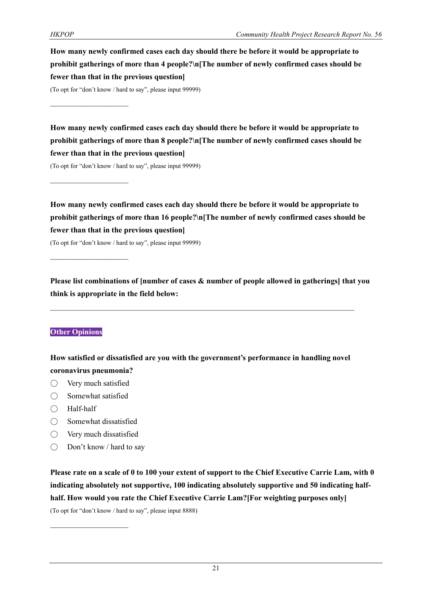**How many newly confirmed cases each day should there be before it would be appropriate to prohibit gatherings of more than 4 people?\n[The number of newly confirmed cases should be fewer than that in the previous question]**

(To opt for "don't know / hard to say", please input 99999)

 $\mathcal{L}_\text{max}$ 

 $\mathcal{L}_\text{max}$ 

**How many newly confirmed cases each day should there be before it would be appropriate to prohibit gatherings of more than 8 people?\n[The number of newly confirmed cases should be fewer than that in the previous question]**

(To opt for "don't know / hard to say", please input 99999)

**How many newly confirmed cases each day should there be before it would be appropriate to prohibit gatherings of more than 16 people?\n[The number of newly confirmed cases should be fewer than that in the previous question]**

(To opt for "don't know / hard to say", please input 99999)

**Please list combinations of [number of cases & number of people allowed in gatherings] that you think is appropriate in the field below:**

### **Other Opinions**

**How satisfied or dissatisfied are you with the government's performance in handling novel coronavirus pneumonia?**

- Very much satisfied
- $\bigcirc$  Somewhat satisfied
- Half-half
- Somewhat dissatisfied
- Very much dissatisfied

 $\mathcal{L}_\text{max}$ 

 $\bigcirc$  Don't know / hard to say

**Please rate on a scale of 0 to 100 your extent of support to the Chief Executive Carrie Lam, with 0 indicating absolutely not supportive, 100 indicating absolutely supportive and 50 indicating halfhalf. How would you rate the Chief Executive Carrie Lam?[For weighting purposes only]**

(To opt for "don't know / hard to say", please input 8888)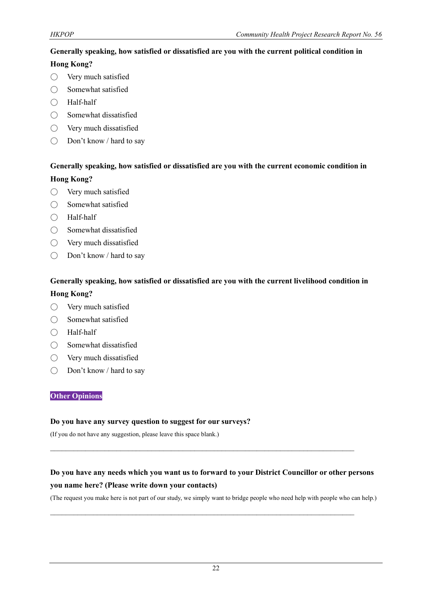## **Generally speaking, how satisfied or dissatisfied are you with the current political condition in**

## **Hong Kong?**

- Very much satisfied
- Somewhat satisfied
- Half-half
- $\bigcirc$  Somewhat dissatisfied
- Very much dissatisfied
- Don't know / hard to say

# **Generally speaking, how satisfied or dissatisfied are you with the current economic condition in Hong Kong?**

- Very much satisfied
- Somewhat satisfied
- Half-half
- Somewhat dissatisfied
- Very much dissatisfied
- Don't know / hard to say

## **Generally speaking, how satisfied or dissatisfied are you with the current livelihood condition in**

## **Hong Kong?**

- Very much satisfied
- Somewhat satisfied
- Half-half
- Somewhat dissatisfied
- Very much dissatisfied
- Don't know / hard to say

### **Other Opinions**

#### **Do you have any survey question to suggest for our surveys?**

(If you do not have any suggestion, please leave this space blank.)

# **Do you have any needs which you want us to forward to your District Councillor or other persons you name here? (Please write down your contacts)**

 $\mathcal{L}_\text{max}$  and  $\mathcal{L}_\text{max}$  and  $\mathcal{L}_\text{max}$  and  $\mathcal{L}_\text{max}$  and  $\mathcal{L}_\text{max}$  and  $\mathcal{L}_\text{max}$ 

 $\mathcal{L}_\mathcal{L} = \{ \mathcal{L}_\mathcal{L} = \{ \mathcal{L}_\mathcal{L} = \{ \mathcal{L}_\mathcal{L} = \{ \mathcal{L}_\mathcal{L} = \{ \mathcal{L}_\mathcal{L} = \{ \mathcal{L}_\mathcal{L} = \{ \mathcal{L}_\mathcal{L} = \{ \mathcal{L}_\mathcal{L} = \{ \mathcal{L}_\mathcal{L} = \{ \mathcal{L}_\mathcal{L} = \{ \mathcal{L}_\mathcal{L} = \{ \mathcal{L}_\mathcal{L} = \{ \mathcal{L}_\mathcal{L} = \{ \mathcal{L}_\mathcal{$ 

(The request you make here is not part of our study, we simply want to bridge people who need help with people who can help.)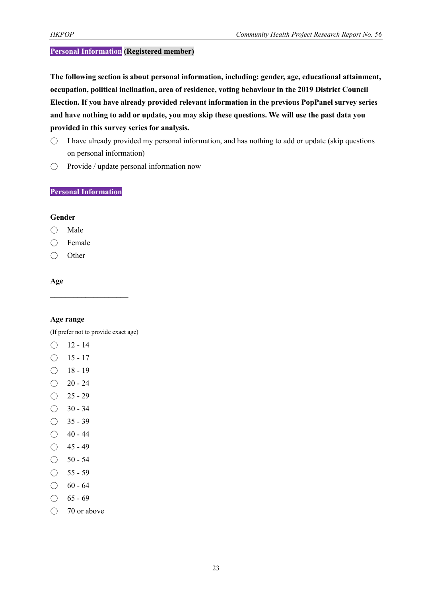## **Personal Information (Registered member)**

**The following section is about personal information, including: gender, age, educational attainment, occupation, political inclination, area of residence, voting behaviour in the 2019 District Council Election. If you have already provided relevant information in the previous PopPanel survey series and have nothing to add or update, you may skip these questions. We will use the past data you provided in this survey series for analysis.**

- $\circ$  I have already provided my personal information, and has nothing to add or update (skip questions on personal information)
- Provide / update personal information now

### **Personal Information**

#### **Gender**

- Male
- Female
- Other

## **Age**

### **Age range**

(If prefer not to provide exact age)

- $O$  12 14
- $\bigcirc$  15 17
- $\bigcirc$  18 19
- $\bigcirc$  20 24
- $O$  25 29
- $\bigcirc$  30 34
- $\bigcirc$  35 39
- $\bigcirc$  40 44
- $\bigcirc$  45 49
- $\bigcirc$  50 54
- $\bigcirc$  55 59
- $\bigcirc$  60 64
- $\bigcirc$  65 69
- 70 or above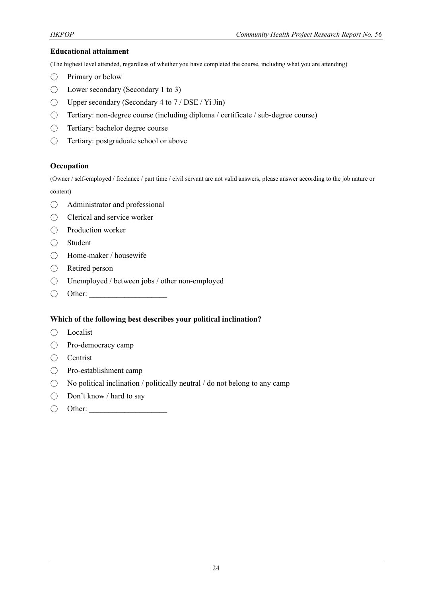#### **Educational attainment**

(The highest level attended, regardless of whether you have completed the course, including what you are attending)

- $\bigcirc$  Primary or below
- $\bigcirc$  Lower secondary (Secondary 1 to 3)
- $\bigcirc$  Upper secondary (Secondary 4 to 7 / DSE / Yi Jin)
- Tertiary: non-degree course (including diploma / certificate / sub-degree course)
- Tertiary: bachelor degree course
- Tertiary: postgraduate school or above

#### **Occupation**

(Owner / self-employed / freelance / part time / civil servant are not valid answers, please answer according to the job nature or content)

- Administrator and professional
- Clerical and service worker
- Production worker
- Student
- Home-maker / housewife
- Retired person
- Unemployed / between jobs / other non-employed
- $\bigcirc$  Other:

### **Which of the following best describes your political inclination?**

- Localist
- Pro-democracy camp
- Centrist
- Pro-establishment camp
- $\bigcirc$  No political inclination / politically neutral / do not belong to any camp
- Don't know / hard to say
- $\bigcirc$  Other: